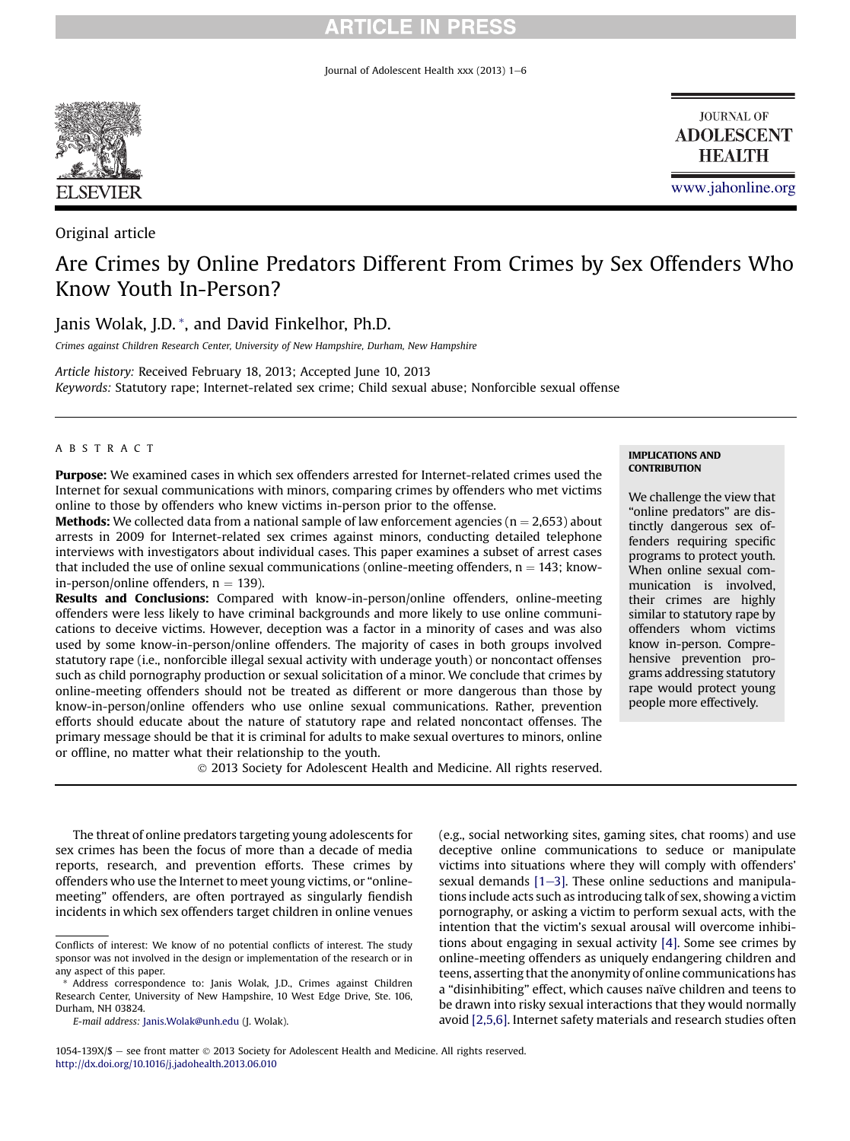# **ARTICLE IN PRESS**

Journal of Adolescent Health xxx  $(2013)$  1-6



Original article

# Are Crimes by Online Predators Different From Crimes by Sex Offenders Who Know Youth In-Person?

Janis Wolak, J.D. \*, and David Finkelhor, Ph.D.

Crimes against Children Research Center, University of New Hampshire, Durham, New Hampshire

Article history: Received February 18, 2013; Accepted June 10, 2013 Keywords: Statutory rape; Internet-related sex crime; Child sexual abuse; Nonforcible sexual offense

# ABSTRACT

Purpose: We examined cases in which sex offenders arrested for Internet-related crimes used the Internet for sexual communications with minors, comparing crimes by offenders who met victims online to those by offenders who knew victims in-person prior to the offense.

**Methods:** We collected data from a national sample of law enforcement agencies ( $n = 2,653$ ) about arrests in 2009 for Internet-related sex crimes against minors, conducting detailed telephone interviews with investigators about individual cases. This paper examines a subset of arrest cases that included the use of online sexual communications (online-meeting offenders,  $n = 143$ ; knowin-person/online offenders,  $n = 139$ ).

Results and Conclusions: Compared with know-in-person/online offenders, online-meeting offenders were less likely to have criminal backgrounds and more likely to use online communications to deceive victims. However, deception was a factor in a minority of cases and was also used by some know-in-person/online offenders. The majority of cases in both groups involved statutory rape (i.e., nonforcible illegal sexual activity with underage youth) or noncontact offenses such as child pornography production or sexual solicitation of a minor. We conclude that crimes by online-meeting offenders should not be treated as different or more dangerous than those by know-in-person/online offenders who use online sexual communications. Rather, prevention efforts should educate about the nature of statutory rape and related noncontact offenses. The primary message should be that it is criminal for adults to make sexual overtures to minors, online or offline, no matter what their relationship to the youth.

2013 Society for Adolescent Health and Medicine. All rights reserved.

## IMPLICATIONS AND **CONTRIBUTION**

We challenge the view that "online predators" are distinctly dangerous sex offenders requiring specific programs to protect youth. When online sexual communication is involved, their crimes are highly similar to statutory rape by offenders whom victims know in-person. Comprehensive prevention programs addressing statutory rape would protect young people more effectively.

[www.jahonline.org](http://www.jahonline.org)

**JOURNAL OF ADOLESCENT HEALTH** 

The threat of online predators targeting young adolescents for sex crimes has been the focus of more than a decade of media reports, research, and prevention efforts. These crimes by offenders who use the Internet to meet young victims, or "onlinemeeting" offenders, are often portrayed as singularly fiendish incidents in which sex offenders target children in online venues

E-mail address: [Janis.Wolak@unh.edu](mailto:Janis.Wolak@unh.edu) (J. Wolak).

(e.g., social networking sites, gaming sites, chat rooms) and use deceptive online communications to seduce or manipulate victims into situations where they will comply with offenders' sexual demands  $[1-3]$  $[1-3]$  $[1-3]$ . These online seductions and manipulations include acts such as introducing talk of sex, showing a victim pornography, or asking a victim to perform sexual acts, with the intention that the victim's sexual arousal will overcome inhibitions about engaging in sexual activity [\[4\]](#page-5-0). Some see crimes by online-meeting offenders as uniquely endangering children and teens, asserting that the anonymity of online communications has a "disinhibiting" effect, which causes naïve children and teens to be drawn into risky sexual interactions that they would normally avoid [\[2,5,6\].](#page-5-0) Internet safety materials and research studies often

1054-139X/\$ - see front matter  $\circ$  2013 Society for Adolescent Health and Medicine. All rights reserved. <http://dx.doi.org/10.1016/j.jadohealth.2013.06.010>

Conflicts of interest: We know of no potential conflicts of interest. The study sponsor was not involved in the design or implementation of the research or in any aspect of this paper.

Address correspondence to: Janis Wolak, J.D., Crimes against Children Research Center, University of New Hampshire, 10 West Edge Drive, Ste. 106, Durham, NH 03824.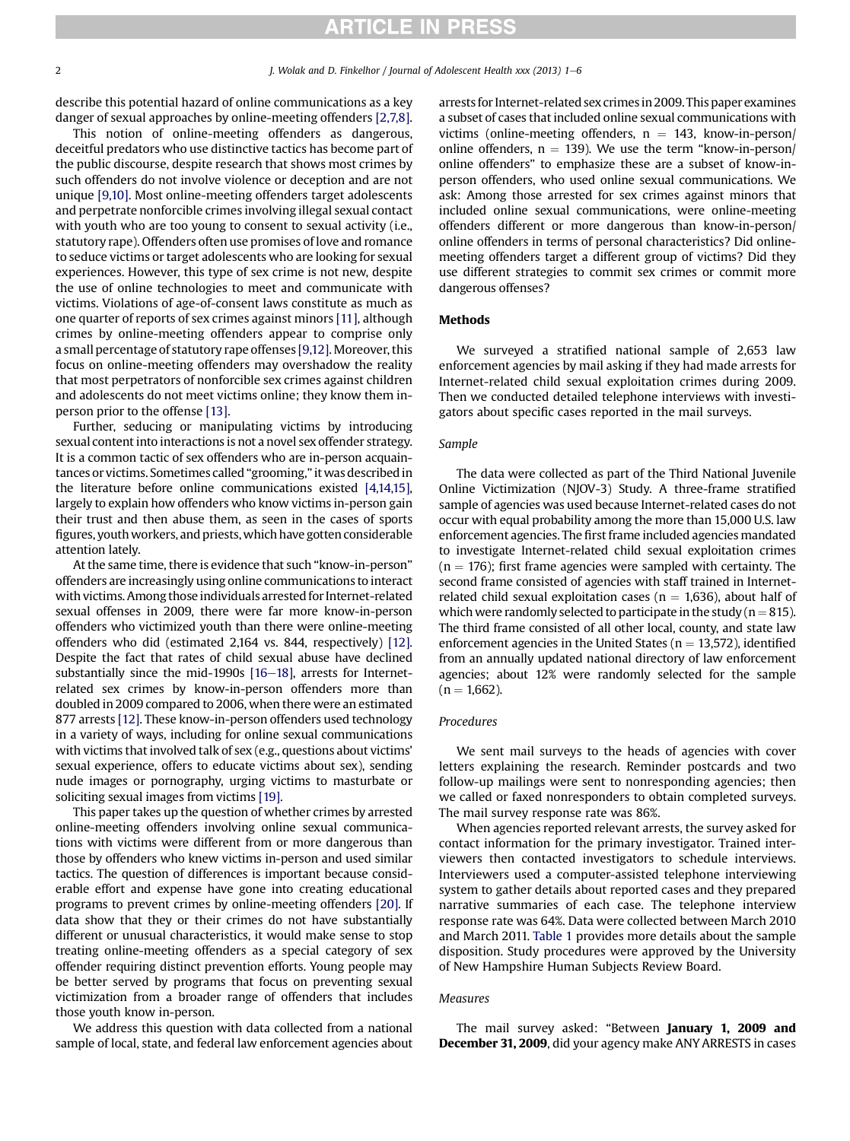describe this potential hazard of online communications as a key danger of sexual approaches by online-meeting offenders [\[2,7,8\].](#page-5-0)

This notion of online-meeting offenders as dangerous, deceitful predators who use distinctive tactics has become part of the public discourse, despite research that shows most crimes by such offenders do not involve violence or deception and are not unique [\[9,10\]](#page-5-0). Most online-meeting offenders target adolescents and perpetrate nonforcible crimes involving illegal sexual contact with youth who are too young to consent to sexual activity (i.e., statutory rape). Offenders often use promises of love and romance to seduce victims or target adolescents who are looking for sexual experiences. However, this type of sex crime is not new, despite the use of online technologies to meet and communicate with victims. Violations of age-of-consent laws constitute as much as one quarter of reports of sex crimes against minors [\[11\]](#page-5-0), although crimes by online-meeting offenders appear to comprise only a small percentage of statutory rape offenses [\[9,12\]](#page-5-0). Moreover, this focus on online-meeting offenders may overshadow the reality that most perpetrators of nonforcible sex crimes against children and adolescents do not meet victims online; they know them inperson prior to the offense [\[13\]](#page-5-0).

Further, seducing or manipulating victims by introducing sexual content into interactions is not a novel sex offender strategy. It is a common tactic of sex offenders who are in-person acquaintances or victims. Sometimes called"grooming," itwas described in the literature before online communications existed [\[4,14,15\],](#page-5-0) largely to explain how offenders who know victims in-person gain their trust and then abuse them, as seen in the cases of sports figures, youth workers, and priests, which have gotten considerable attention lately.

At the same time, there is evidence that such "know-in-person" offenders are increasingly using online communications to interact with victims. Among those individuals arrested for Internet-related sexual offenses in 2009, there were far more know-in-person offenders who victimized youth than there were online-meeting offenders who did (estimated 2,164 vs. 844, respectively) [\[12\].](#page-5-0) Despite the fact that rates of child sexual abuse have declined substantially since the mid-1990s  $[16-18]$  $[16-18]$ , arrests for Internetrelated sex crimes by know-in-person offenders more than doubled in 2009 compared to 2006, when there were an estimated 877 arrests [\[12\].](#page-5-0) These know-in-person offenders used technology in a variety of ways, including for online sexual communications with victims that involved talk of sex (e.g., questions about victims' sexual experience, offers to educate victims about sex), sending nude images or pornography, urging victims to masturbate or soliciting sexual images from victims [\[19\].](#page-5-0)

This paper takes up the question of whether crimes by arrested online-meeting offenders involving online sexual communications with victims were different from or more dangerous than those by offenders who knew victims in-person and used similar tactics. The question of differences is important because considerable effort and expense have gone into creating educational programs to prevent crimes by online-meeting offenders [\[20\].](#page-5-0) If data show that they or their crimes do not have substantially different or unusual characteristics, it would make sense to stop treating online-meeting offenders as a special category of sex offender requiring distinct prevention efforts. Young people may be better served by programs that focus on preventing sexual victimization from a broader range of offenders that includes those youth know in-person.

We address this question with data collected from a national sample of local, state, and federal law enforcement agencies about arrests for Internet-related sex crimesin 2009. This paper examines a subset of cases that included online sexual communications with victims (online-meeting offenders,  $n = 143$ , know-in-person/ online offenders,  $n = 139$ ). We use the term "know-in-person/ online offenders" to emphasize these are a subset of know-inperson offenders, who used online sexual communications. We ask: Among those arrested for sex crimes against minors that included online sexual communications, were online-meeting offenders different or more dangerous than know-in-person/ online offenders in terms of personal characteristics? Did onlinemeeting offenders target a different group of victims? Did they use different strategies to commit sex crimes or commit more dangerous offenses?

# Methods

We surveyed a stratified national sample of 2,653 law enforcement agencies by mail asking if they had made arrests for Internet-related child sexual exploitation crimes during 2009. Then we conducted detailed telephone interviews with investigators about specific cases reported in the mail surveys.

# Sample

The data were collected as part of the Third National Juvenile Online Victimization (NJOV-3) Study. A three-frame stratified sample of agencies was used because Internet-related cases do not occur with equal probability among the more than 15,000 U.S. law enforcement agencies. The first frame included agencies mandated to investigate Internet-related child sexual exploitation crimes  $(n = 176)$ ; first frame agencies were sampled with certainty. The second frame consisted of agencies with staff trained in Internetrelated child sexual exploitation cases ( $n = 1,636$ ), about half of which were randomly selected to participate in the study ( $n = 815$ ). The third frame consisted of all other local, county, and state law enforcement agencies in the United States ( $n = 13,572$ ), identified from an annually updated national directory of law enforcement agencies; about 12% were randomly selected for the sample  $(n = 1,662)$ .

# Procedures

We sent mail surveys to the heads of agencies with cover letters explaining the research. Reminder postcards and two follow-up mailings were sent to nonresponding agencies; then we called or faxed nonresponders to obtain completed surveys. The mail survey response rate was 86%.

When agencies reported relevant arrests, the survey asked for contact information for the primary investigator. Trained interviewers then contacted investigators to schedule interviews. Interviewers used a computer-assisted telephone interviewing system to gather details about reported cases and they prepared narrative summaries of each case. The telephone interview response rate was 64%. Data were collected between March 2010 and March 2011. [Table 1](#page-2-0) provides more details about the sample disposition. Study procedures were approved by the University of New Hampshire Human Subjects Review Board.

### Measures

The mail survey asked: "Between January 1, 2009 and December 31, 2009, did your agency make ANY ARRESTS in cases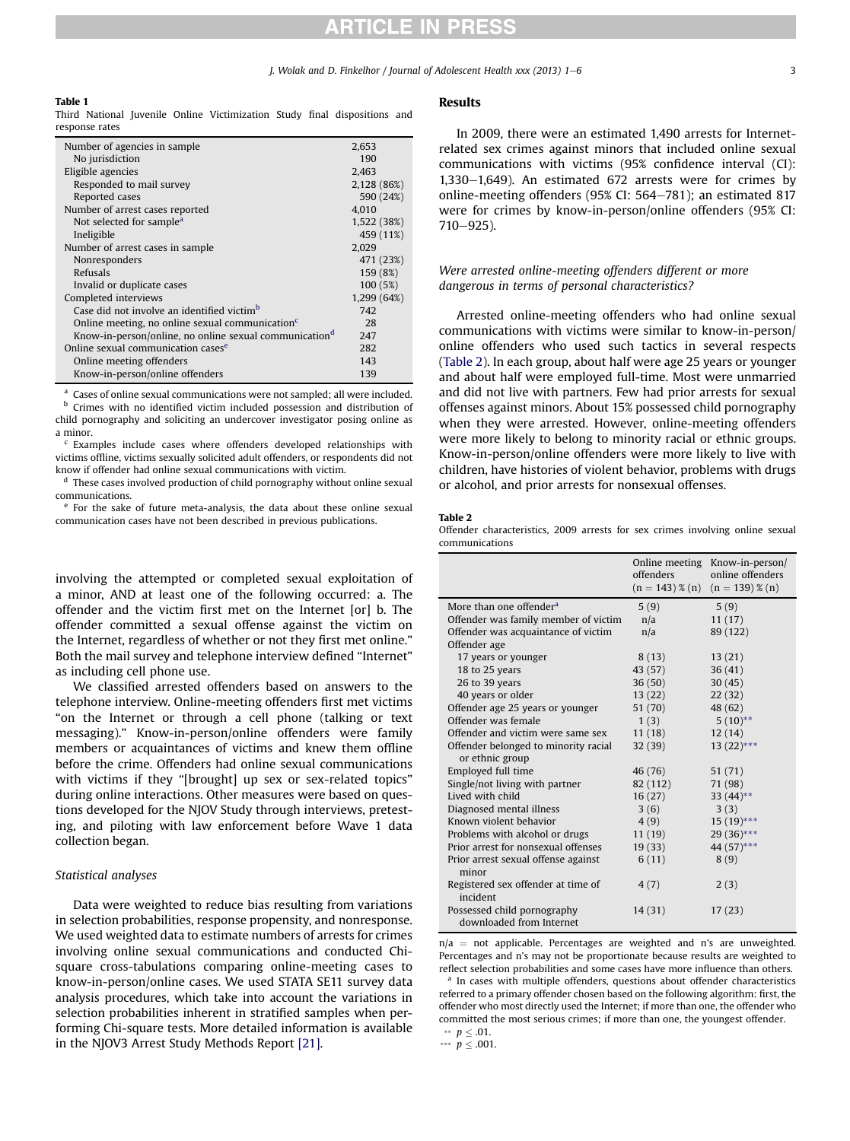### <span id="page-2-0"></span>Table 1

Third National Juvenile Online Victimization Study final dispositions and response rates

| Number of agencies in sample                                       | 2,653       |
|--------------------------------------------------------------------|-------------|
| No jurisdiction                                                    | 190         |
| Eligible agencies                                                  | 2.463       |
| Responded to mail survey                                           | 2,128 (86%) |
| Reported cases                                                     | 590 (24%)   |
| Number of arrest cases reported                                    | 4.010       |
| Not selected for sample <sup>a</sup>                               | 1,522 (38%) |
| Ineligible                                                         | 459 (11%)   |
| Number of arrest cases in sample                                   | 2.029       |
| Nonresponders                                                      | 471 (23%)   |
| Refusals                                                           | 159 (8%)    |
| Invalid or duplicate cases                                         | 100(5%)     |
| Completed interviews                                               | 1,299 (64%) |
| Case did not involve an identified victim <sup>b</sup>             | 742         |
| Online meeting, no online sexual communication $c$                 | 28          |
| Know-in-person/online, no online sexual communication <sup>d</sup> | 247         |
| Online sexual communication cases <sup>e</sup>                     | 282         |
| Online meeting offenders                                           | 143         |
| Know-in-person/online offenders                                    | 139         |

<sup>a</sup> Cases of online sexual communications were not sampled; all were included. <sup>b</sup> Crimes with no identified victim included possession and distribution of child pornography and soliciting an undercover investigator posing online as a minor.

 $c$  Examples include cases where offenders developed relationships with victims offline, victims sexually solicited adult offenders, or respondents did not know if offender had online sexual communications with victim.

<sup>d</sup> These cases involved production of child pornography without online sexual communications.

<sup>e</sup> For the sake of future meta-analysis, the data about these online sexual communication cases have not been described in previous publications. Table 2

involving the attempted or completed sexual exploitation of a minor, AND at least one of the following occurred: a. The offender and the victim first met on the Internet [or] b. The offender committed a sexual offense against the victim on the Internet, regardless of whether or not they first met online." Both the mail survey and telephone interview defined "Internet" as including cell phone use.

We classified arrested offenders based on answers to the telephone interview. Online-meeting offenders first met victims "on the Internet or through a cell phone (talking or text messaging)." Know-in-person/online offenders were family members or acquaintances of victims and knew them offline before the crime. Offenders had online sexual communications with victims if they "[brought] up sex or sex-related topics" during online interactions. Other measures were based on questions developed for the NJOV Study through interviews, pretesting, and piloting with law enforcement before Wave 1 data collection began.

# Statistical analyses

Data were weighted to reduce bias resulting from variations in selection probabilities, response propensity, and nonresponse. We used weighted data to estimate numbers of arrests for crimes involving online sexual communications and conducted Chisquare cross-tabulations comparing online-meeting cases to know-in-person/online cases. We used STATA SE11 survey data analysis procedures, which take into account the variations in selection probabilities inherent in stratified samples when performing Chi-square tests. More detailed information is available in the NJOV3 Arrest Study Methods Report [\[21\]](#page-5-0).

# Results

In 2009, there were an estimated 1,490 arrests for Internetrelated sex crimes against minors that included online sexual communications with victims (95% confidence interval (CI):  $1,330-1,649$ ). An estimated  $672$  arrests were for crimes by online-meeting offenders (95% CI: 564-781); an estimated 817 were for crimes by know-in-person/online offenders (95% CI:  $710 - 925$ ).

# Were arrested online-meeting offenders different or more dangerous in terms of personal characteristics?

Arrested online-meeting offenders who had online sexual communications with victims were similar to know-in-person/ online offenders who used such tactics in several respects (Table 2). In each group, about half were age 25 years or younger and about half were employed full-time. Most were unmarried and did not live with partners. Few had prior arrests for sexual offenses against minors. About 15% possessed child pornography when they were arrested. However, online-meeting offenders were more likely to belong to minority racial or ethnic groups. Know-in-person/online offenders were more likely to live with children, have histories of violent behavior, problems with drugs or alcohol, and prior arrests for nonsexual offenses.

Offender characteristics, 2009 arrests for sex crimes involving online sexual communications

|                                                         | Online meeting<br>offenders | Know-in-person/<br>online offenders<br>$(n = 143)$ % $(n)$ $(n = 139)$ % $(n)$ |
|---------------------------------------------------------|-----------------------------|--------------------------------------------------------------------------------|
| More than one offender <sup>a</sup>                     | 5(9)                        | 5(9)                                                                           |
| Offender was family member of victim                    | n/a                         | 11(17)                                                                         |
| Offender was acquaintance of victim                     | n/a                         | 89 (122)                                                                       |
| Offender age                                            |                             |                                                                                |
| 17 years or younger                                     | 8(13)                       | 13(21)                                                                         |
| 18 to 25 years                                          | 43 (57)                     | 36(41)                                                                         |
| 26 to 39 years                                          | 36(50)                      | 30(45)                                                                         |
| 40 years or older                                       | 13(22)                      | 22(32)                                                                         |
| Offender age 25 years or younger                        | 51 (70)                     | 48 (62)                                                                        |
| Offender was female                                     | 1(3)                        | $5(10)*$                                                                       |
| Offender and victim were same sex                       | 11 (18)                     | 12(14)                                                                         |
| Offender belonged to minority racial<br>or ethnic group | 32 (39)                     | $13(22)$ ***                                                                   |
| Employed full time                                      | 46 (76)                     | 51(71)                                                                         |
| Single/not living with partner                          | 82 (112)                    | 71 (98)                                                                        |
| Lived with child                                        | 16(27)                      | 33 $(44)$ **                                                                   |
| Diagnosed mental illness                                | 3(6)                        | 3(3)                                                                           |
| Known violent behavior                                  | 4(9)                        | $15(19)$ ***                                                                   |
| Problems with alcohol or drugs                          | 11 (19)                     | 29 (36)***                                                                     |
| Prior arrest for nonsexual offenses                     | 19 (33)                     | 44 (57)***                                                                     |
| Prior arrest sexual offense against<br>minor            | 6(11)                       | 8(9)                                                                           |
| Registered sex offender at time of<br>incident          | 4 (7)                       | 2(3)                                                                           |
| Possessed child pornography<br>downloaded from Internet | 14 (31)                     | 17(23)                                                                         |

 $n/a$  = not applicable. Percentages are weighted and n's are unweighted. Percentages and n's may not be proportionate because results are weighted to reflect selection probabilities and some cases have more influence than others.

In cases with multiple offenders, questions about offender characteristics referred to a primary offender chosen based on the following algorithm: first, the offender who most directly used the Internet; if more than one, the offender who committed the most serious crimes; if more than one, the youngest offender.

\*\*  $p \leq .01$ .

\*\*\*  $p \leq .001$ .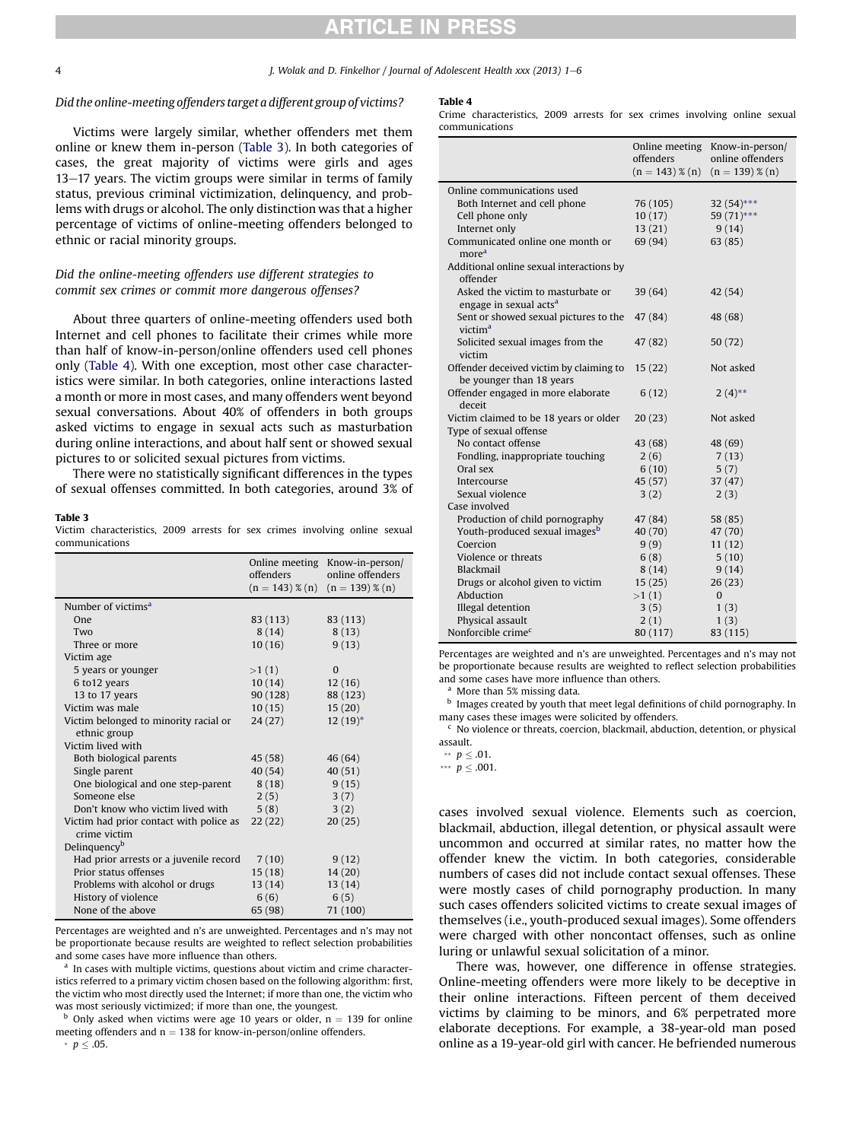# **ARTICLE IN PRESS**

# 4 J. Wolak and D. Finkelhor / Journal of Adolescent Health xxx (2013) 1–6

# Did the online-meeting offenders target a different group of victims?

Victims were largely similar, whether offenders met them online or knew them in-person (Table 3). In both categories of cases, the great majority of victims were girls and ages  $13-17$  years. The victim groups were similar in terms of family status, previous criminal victimization, delinquency, and problems with drugs or alcohol. The only distinction was that a higher percentage of victims of online-meeting offenders belonged to ethnic or racial minority groups.

# Did the online-meeting offenders use different strategies to commit sex crimes or commit more dangerous offenses?

About three quarters of online-meeting offenders used both Internet and cell phones to facilitate their crimes while more than half of know-in-person/online offenders used cell phones only (Table 4). With one exception, most other case characteristics were similar. In both categories, online interactions lasted a month or more in most cases, and many offenders went beyond sexual conversations. About 40% of offenders in both groups asked victims to engage in sexual acts such as masturbation during online interactions, and about half sent or showed sexual pictures to or solicited sexual pictures from victims.

There were no statistically significant differences in the types of sexual offenses committed. In both categories, around 3% of

### Table 3

Victim characteristics, 2009 arrests for sex crimes involving online sexual communications

|                                                         | offenders<br>$(n = 143) % (n)$ | Online meeting Know-in-person/<br>online offenders<br>$(n = 139)$ % $(n)$ |
|---------------------------------------------------------|--------------------------------|---------------------------------------------------------------------------|
| Number of victims <sup>a</sup>                          |                                |                                                                           |
| <b>One</b>                                              | 83 (113)                       | 83 (113)                                                                  |
| Two                                                     | 8(14)                          | 8(13)                                                                     |
| Three or more                                           | 10(16)                         | 9(13)                                                                     |
| Victim age                                              |                                |                                                                           |
| 5 years or younger                                      | >1(1)                          | $\Omega$                                                                  |
| 6 to 12 years                                           | 10(14)                         | 12(16)                                                                    |
| 13 to 17 years                                          | 90 (128)                       | 88 (123)                                                                  |
| Victim was male                                         | 10(15)                         | 15(20)                                                                    |
| Victim belonged to minority racial or<br>ethnic group   | 24(27)                         | $12(19)*$                                                                 |
| Victim lived with                                       |                                |                                                                           |
| Both biological parents                                 | 45 (58)                        | 46 (64)                                                                   |
| Single parent                                           | 40 (54)                        | 40(51)                                                                    |
| One biological and one step-parent                      | 8(18)                          | 9(15)                                                                     |
| Someone else                                            | 2(5)                           | 3(7)                                                                      |
| Don't know who victim lived with                        | 5(8)                           | 3(2)                                                                      |
| Victim had prior contact with police as<br>crime victim | 22(22)                         | 20(25)                                                                    |
| Delinquency <sup>b</sup>                                |                                |                                                                           |
| Had prior arrests or a juvenile record                  | 7(10)                          | 9(12)                                                                     |
| Prior status offenses                                   | 15(18)                         | 14(20)                                                                    |
| Problems with alcohol or drugs                          | 13(14)                         | 13 (14)                                                                   |
| History of violence                                     | 6(6)                           | 6(5)                                                                      |
| None of the above                                       | 65 (98)                        | 71 (100)                                                                  |

Percentages are weighted and n's are unweighted. Percentages and n's may not be proportionate because results are weighted to reflect selection probabilities and some cases have more influence than others.

<sup>a</sup> In cases with multiple victims, questions about victim and crime characteristics referred to a primary victim chosen based on the following algorithm: first, the victim who most directly used the Internet; if more than one, the victim who was most seriously victimized; if more than one, the youngest.

 $b$  Only asked when victims were age 10 years or older,  $n = 139$  for online meeting offenders and  $n = 138$  for know-in-person/online offenders.  $p \leq .05$ .

## Table 4

Crime characteristics, 2009 arrests for sex crimes involving online sexual communications

|                                                                         | Online meeting<br>offenders<br>$(n = 143) % (n)$ | Know-in-person/<br>online offenders<br>$(n = 139)$ % $(n)$ |
|-------------------------------------------------------------------------|--------------------------------------------------|------------------------------------------------------------|
| Online communications used                                              |                                                  |                                                            |
| Both Internet and cell phone                                            | 76 (105)                                         | 32 $(54)$ ***                                              |
| Cell phone only                                                         | 10(17)                                           | 59 (71)***                                                 |
| Internet only                                                           | 13(21)                                           | 9(14)                                                      |
| Communicated online one month or<br>more <sup>a</sup>                   | 69 (94)                                          | 63(85)                                                     |
| Additional online sexual interactions by<br>offender                    |                                                  |                                                            |
| Asked the victim to masturbate or<br>engage in sexual acts <sup>a</sup> | 39(64)                                           | 42 (54)                                                    |
| Sent or showed sexual pictures to the<br>victim <sup>a</sup>            | 47 (84)                                          | 48 (68)                                                    |
| Solicited sexual images from the<br>victim                              | 47 (82)                                          | 50 (72)                                                    |
| Offender deceived victim by claiming to<br>be younger than 18 years     | 15(22)                                           | Not asked                                                  |
| Offender engaged in more elaborate<br>deceit                            | 6(12)                                            | $2(4)$ **                                                  |
| Victim claimed to be 18 years or older                                  | 20(23)                                           | Not asked                                                  |
| Type of sexual offense                                                  |                                                  |                                                            |
| No contact offense                                                      | 43 (68)                                          | 48 (69)                                                    |
| Fondling, inappropriate touching                                        | 2(6)                                             | 7(13)                                                      |
| Oral sex                                                                | 6(10)                                            | 5(7)                                                       |
| Intercourse                                                             | 45 (57)                                          | 37(47)                                                     |
| Sexual violence                                                         | 3(2)                                             | 2(3)                                                       |
| Case involved                                                           |                                                  |                                                            |
| Production of child pornography                                         | 47 (84)                                          | 58 (85)                                                    |
| Youth-produced sexual images <sup>b</sup>                               | 40 (70)                                          | 47 (70)                                                    |
| Coercion                                                                | 9(9)                                             | 11(12)                                                     |
| Violence or threats                                                     | 6(8)                                             | 5(10)                                                      |
| Blackmail                                                               | 8(14)                                            | 9(14)                                                      |
| Drugs or alcohol given to victim                                        | 15(25)                                           | 26(23)                                                     |
| Abduction                                                               | >1(1)                                            | $\mathbf{0}$                                               |
| Illegal detention                                                       | 3(5)                                             | 1(3)                                                       |
| Physical assault                                                        | 2(1)                                             | 1(3)                                                       |
| Nonforcible crime <sup>c</sup>                                          | 80 (117)                                         | 83 (115)                                                   |

Percentages are weighted and n's are unweighted. Percentages and n's may not be proportionate because results are weighted to reflect selection probabilities and some cases have more influence than others.

More than 5% missing data.

b Images created by youth that meet legal definitions of child pornography. In many cases these images were solicited by offenders.

 $c$  No violence or threats, coercion, blackmail, abduction, detention, or physical assault.

\*\*\*  $p \leq .001$ .

cases involved sexual violence. Elements such as coercion, blackmail, abduction, illegal detention, or physical assault were uncommon and occurred at similar rates, no matter how the offender knew the victim. In both categories, considerable numbers of cases did not include contact sexual offenses. These were mostly cases of child pornography production. In many such cases offenders solicited victims to create sexual images of themselves (i.e., youth-produced sexual images). Some offenders were charged with other noncontact offenses, such as online luring or unlawful sexual solicitation of a minor.

There was, however, one difference in offense strategies. Online-meeting offenders were more likely to be deceptive in their online interactions. Fifteen percent of them deceived victims by claiming to be minors, and 6% perpetrated more elaborate deceptions. For example, a 38-year-old man posed online as a 19-year-old girl with cancer. He befriended numerous

<sup>\*\*</sup>  $p \leq .01$ .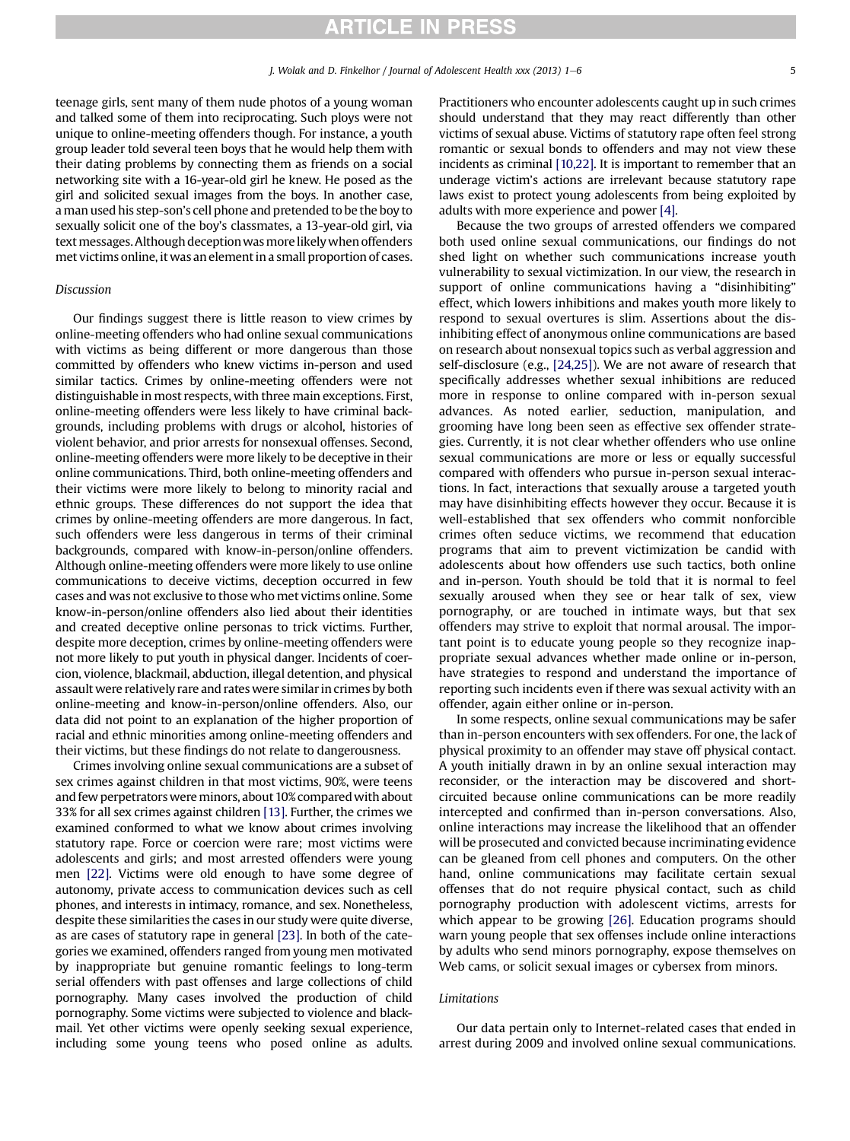teenage girls, sent many of them nude photos of a young woman and talked some of them into reciprocating. Such ploys were not unique to online-meeting offenders though. For instance, a youth group leader told several teen boys that he would help them with their dating problems by connecting them as friends on a social networking site with a 16-year-old girl he knew. He posed as the girl and solicited sexual images from the boys. In another case, a man used his step-son's cell phone and pretended to be the boy to sexually solicit one of the boy's classmates, a 13-year-old girl, via text messages. Although deception was more likely when offenders met victims online, it was an element in a small proportion of cases.

## Discussion

Our findings suggest there is little reason to view crimes by online-meeting offenders who had online sexual communications with victims as being different or more dangerous than those committed by offenders who knew victims in-person and used similar tactics. Crimes by online-meeting offenders were not distinguishable in most respects, with three main exceptions. First, online-meeting offenders were less likely to have criminal backgrounds, including problems with drugs or alcohol, histories of violent behavior, and prior arrests for nonsexual offenses. Second, online-meeting offenders were more likely to be deceptive in their online communications. Third, both online-meeting offenders and their victims were more likely to belong to minority racial and ethnic groups. These differences do not support the idea that crimes by online-meeting offenders are more dangerous. In fact, such offenders were less dangerous in terms of their criminal backgrounds, compared with know-in-person/online offenders. Although online-meeting offenders were more likely to use online communications to deceive victims, deception occurred in few cases and was not exclusive to those who met victims online. Some know-in-person/online offenders also lied about their identities and created deceptive online personas to trick victims. Further, despite more deception, crimes by online-meeting offenders were not more likely to put youth in physical danger. Incidents of coercion, violence, blackmail, abduction, illegal detention, and physical assault were relatively rare and rates were similar in crimes by both online-meeting and know-in-person/online offenders. Also, our data did not point to an explanation of the higher proportion of racial and ethnic minorities among online-meeting offenders and their victims, but these findings do not relate to dangerousness.

Crimes involving online sexual communications are a subset of sex crimes against children in that most victims, 90%, were teens and few perpetrators were minors, about 10% compared with about 33% for all sex crimes against children [\[13\]](#page-5-0). Further, the crimes we examined conformed to what we know about crimes involving statutory rape. Force or coercion were rare; most victims were adolescents and girls; and most arrested offenders were young men [\[22\].](#page-5-0) Victims were old enough to have some degree of autonomy, private access to communication devices such as cell phones, and interests in intimacy, romance, and sex. Nonetheless, despite these similarities the cases in our study were quite diverse, as are cases of statutory rape in general [\[23\]](#page-5-0). In both of the categories we examined, offenders ranged from young men motivated by inappropriate but genuine romantic feelings to long-term serial offenders with past offenses and large collections of child pornography. Many cases involved the production of child pornography. Some victims were subjected to violence and blackmail. Yet other victims were openly seeking sexual experience, including some young teens who posed online as adults.

Practitioners who encounter adolescents caught up in such crimes should understand that they may react differently than other victims of sexual abuse. Victims of statutory rape often feel strong romantic or sexual bonds to offenders and may not view these incidents as criminal [\[10,22\].](#page-5-0) It is important to remember that an underage victim's actions are irrelevant because statutory rape laws exist to protect young adolescents from being exploited by adults with more experience and power [\[4\].](#page-5-0)

Because the two groups of arrested offenders we compared both used online sexual communications, our findings do not shed light on whether such communications increase youth vulnerability to sexual victimization. In our view, the research in support of online communications having a "disinhibiting" effect, which lowers inhibitions and makes youth more likely to respond to sexual overtures is slim. Assertions about the disinhibiting effect of anonymous online communications are based on research about nonsexual topics such as verbal aggression and self-disclosure (e.g., [\[24,25\]\)](#page-5-0). We are not aware of research that specifically addresses whether sexual inhibitions are reduced more in response to online compared with in-person sexual advances. As noted earlier, seduction, manipulation, and grooming have long been seen as effective sex offender strategies. Currently, it is not clear whether offenders who use online sexual communications are more or less or equally successful compared with offenders who pursue in-person sexual interactions. In fact, interactions that sexually arouse a targeted youth may have disinhibiting effects however they occur. Because it is well-established that sex offenders who commit nonforcible crimes often seduce victims, we recommend that education programs that aim to prevent victimization be candid with adolescents about how offenders use such tactics, both online and in-person. Youth should be told that it is normal to feel sexually aroused when they see or hear talk of sex, view pornography, or are touched in intimate ways, but that sex offenders may strive to exploit that normal arousal. The important point is to educate young people so they recognize inappropriate sexual advances whether made online or in-person, have strategies to respond and understand the importance of reporting such incidents even if there was sexual activity with an offender, again either online or in-person.

In some respects, online sexual communications may be safer than in-person encounters with sex offenders. For one, the lack of physical proximity to an offender may stave off physical contact. A youth initially drawn in by an online sexual interaction may reconsider, or the interaction may be discovered and shortcircuited because online communications can be more readily intercepted and confirmed than in-person conversations. Also, online interactions may increase the likelihood that an offender will be prosecuted and convicted because incriminating evidence can be gleaned from cell phones and computers. On the other hand, online communications may facilitate certain sexual offenses that do not require physical contact, such as child pornography production with adolescent victims, arrests for which appear to be growing [\[26\]](#page-5-0). Education programs should warn young people that sex offenses include online interactions by adults who send minors pornography, expose themselves on Web cams, or solicit sexual images or cybersex from minors.

# Limitations

Our data pertain only to Internet-related cases that ended in arrest during 2009 and involved online sexual communications.